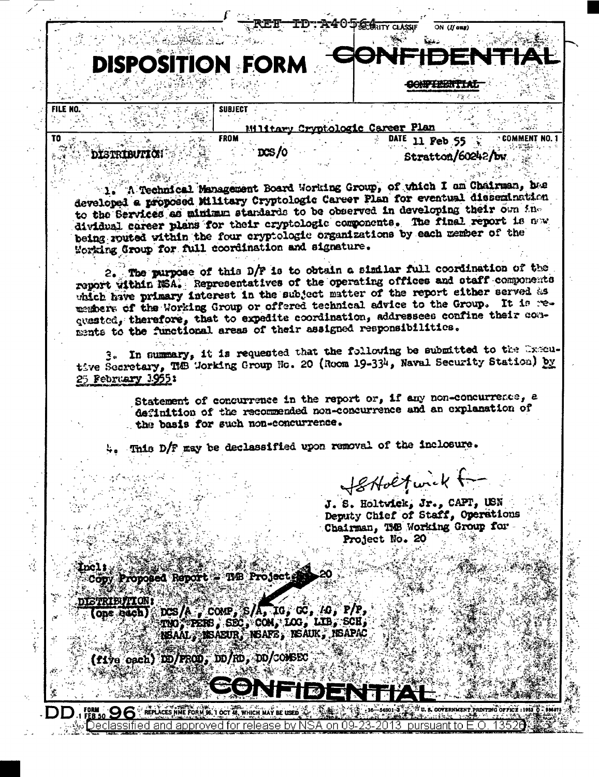## **DISPOSITION FORM AMPERISHT**

**SUBJECT** 

**FROM** 

 $DS/0$ 

Miltary Cryptologic Career Plan

A40 JE GRITY CLASSLE

**DISTRIBUTION** 

FILE NO.

TO

DATE 11 Feb 55 2 COMMENT NO. 1 Stratton/60242/bw.

ON (If any)

1. A Technical Management Board Working Group, of which I am Chairman, has developed a proposed Military Cryptologic Career Plan for eventual dissemination to the Services as minimum standards to be observed in developing their own individual career plans for their cryptologic components. The final report is now being routed within the four cryptologic organizations by each member of the Working Group for full coordination and signature.

2. The purpose of this D/F is to obtain a similar full coordination of the report within NSA. Representatives of the operating offices and staff components which have primary interest in the subject matter of the report either served as members of the Working Group or offered technical advice to the Group. It is requested, therefore, that to expedite coordination, addressees confine their conments to the functional areas of their assigned responsibilities.

3. In summary, it is requested that the following be submitted to the Executive Secretary, The Working Group No. 20 (Room 19-334, Naval Security Station) by 25 February 1955:

> Statement of concurrence in the report or, if any non-concurrence, a definition of the recommended non-concurrence and an explanation of the basis for such non-concurrence.

This D/F may be declassified upon removal of the inclosure.

Softbefurck for

J. S. Holtwick, Jr., CAPT, USN Deputy Chief of Staff, Operations Chairman, TMB Working Group for-Project No. 20

Copy Proposed Report : THE Projects

**ETRIBUTION**  $DCS/A$   $\sim$   $COMP$ ,  $S/A$ ,  $10$ ,  $GC$ ,  $10$ ,  $P/P$ , one bach) TNO, PERS, SEC, COM, LOG, LIB, SCH, NSAAL, NSAEUR, NSAFE, NSAUK, NSAPAC

(five each) DD/FROD, DD/RD, DD/COMSEC

**COVERNMENT PRINTING OFFICE : 1952 0 - 98687!** REPLACES NHE FORM 96, 1 OCT 48, WHICH MAY BE USED Declassified and approved for release by NSA on 09 pursuant to E.O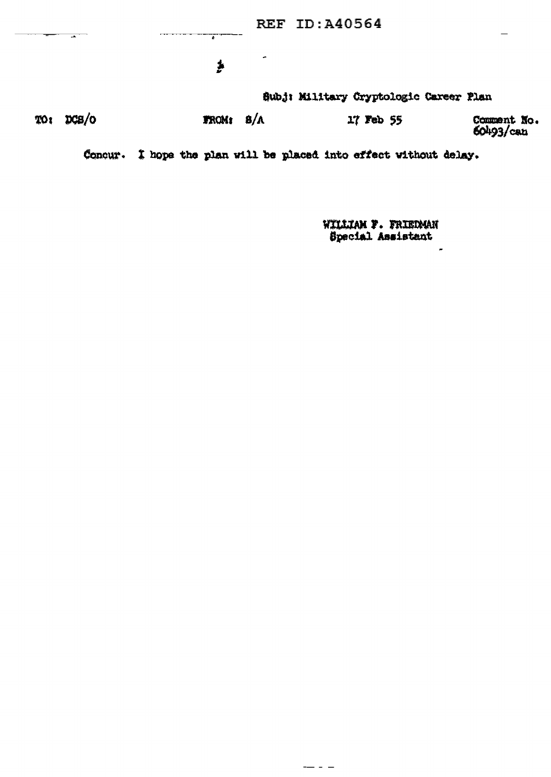**REF ID: A40564**  $\overline{ }$ . . . . . . . .  $\overline{\phantom{a}}$  $\overline{\phantom{a}}$  $\overline{\mathbf{r}}$ Subj: Military Cryptologic Career Plan TO: DCS/O **FROM:**  $B/A$ 17 Feb 55 Comment No. 60493/can

Concur. I hope the plan will be placed into effect without delay.

 $\frac{1}{2}$ 

WILLIAM F. FRIEDMAN Special Assistant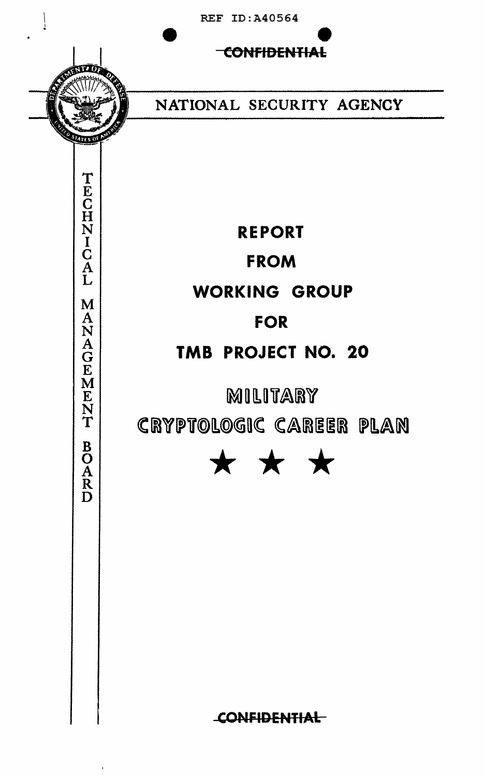

M

ANAGEMENT

**BOARD** 

CONFIDENTIAL

**REF ID: A40564** 

NATIONAL SECURITY AGENCY

**REPORT FROM** WORKING GROUP **FOR** TMB PROJECT NO. 20

MILITARY CRYPTOLOGIC CAREER PLAN



**CONFIDENTIAL**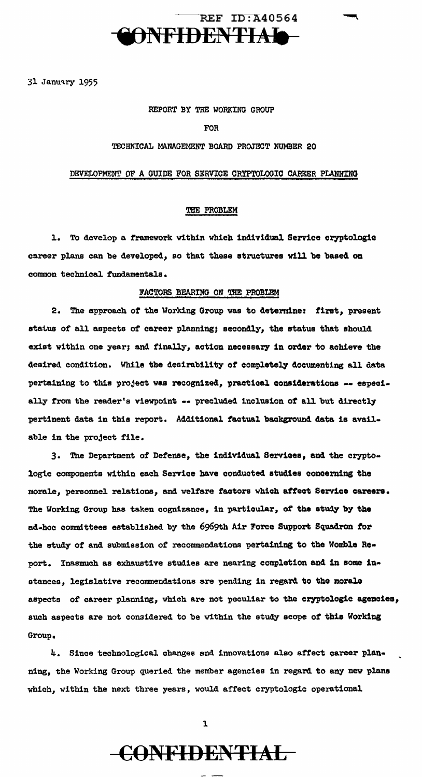

31 January 1955

#### REPORT BY THE WORKING GROUP

#### FOR

#### TECHNICAL MANAGEMENT BOARD PROJECT NUMBER 20

#### DEVELOPMENT OF A GUIDE FOR SERVICE CRYPTOLOGIC CAREER PLANNING

#### THE PROBLEM

1. To develop a framework within which individual Service cryptologic career plans can be developed, so that these atructurea will be baaed on common technical fundamentals.

#### FACTORS BEARING ON THE PROBLEM

2. The approach *ot* the Working Group was to determine: firat, present atatus of all aspects of career planning; secondly, the status that should exist within one year; and finally, action necessary in order to achieve the desired condition. While the desirability *ot* completely documenting all data pertaining to this project was recognized, practical considerations -- especially from the reader's viewpoint -- precluded inclusion of all but directly pertinent data in this report. Additional factual background data is available in the project file.

3. The Department of Defense, the individual Services, and the cryptologic components within each Service have conducted studies concerning the morale, personnel relations, and welfare factors which attect Service careers. The Working Group has taken cognizance, in particular, of the study by the ad-hoc committees established by the 6969th Air Force Support Squadron *tor*  the study of and submission of recommendations pertaining to the Womble Re• port. Inasmuch as exhaustive studies are nearing completion and in some instances, legislative recommendations are pending in regard to the morale aspects *ot* career planning, which are not peculiar to the cryptologic agenaiea, such aspects are not considered to be within the study scope of this Working Group.

4. Since technological changes and innovations also affect career plan• ning, the Working Group queried the member agencies in regard to any new plans which, within the next three years, would affect cryptologic operational



l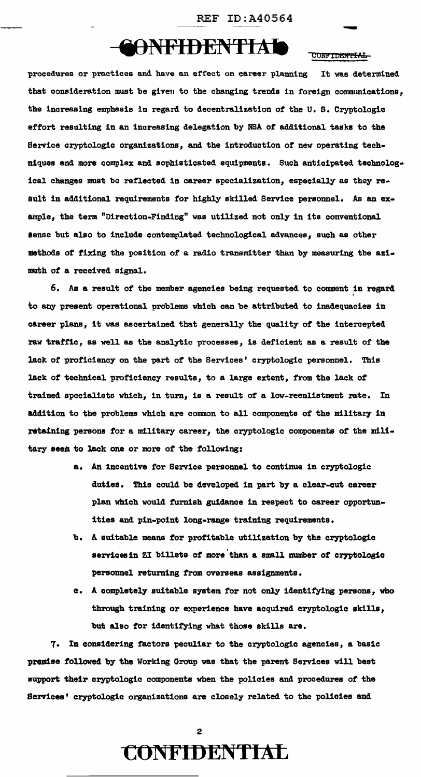## CONFIDENTIAL CONFIDENTIAL

procedures or practices and have an effect on career planning It was determined that consideration must be given to the changing trends in foreign communications, the increasing emphasis in regard to decentralization of the U.S. Cryptologic effort resulting in an increasing delegation by NBA of additional tasks to the Service cryptologic organizations, and the introduction of new operating techniques and more complex and sophisticated equipments. Such anticipated technological changes must be reflected in career specialization, especially as they result in additional requirements for highly skilled Service personnel. As an example, the term "Direction-Finding" was utilized not only in its conventional sense but also to include contemplated technological advances, such as other methods of fixing the position of a radio transmitter than by measuring the azi• muth *ot* a received signal.

6. As a result of the member agencies being requested to comment in regard ' to any present operational problems which can be attributed to inadequacies in c&reer plans, it was ascertained that generally the quality of the intercepted rav traffic, as well as the analytic processes, is deficient as a result of the lack of proficiency on the part of the Services' cryptologic personnel. This lack of technical proficiency results, to a large extent, from the lack of trained. specialists which, in turn, is a result of a low-reenlistment rate. In addition to the problems which are common to all components of the military in retaining persons for a military career, the cryptologic components of the military seem to lack one or more of the following:

- a. An incentive for Service personnel to continue in cryptologic duties. This could be developed in part by a clear-cut career plan which would furnish guidance in respect to career opportunities and pin-point long-range training requirements.
- b. A suitable means for profitable utilization by the cryptologic servicesin ZI billets of more than a small number of cryptologic personnel returning from overseas assignments.
- a. A completely suitable system for not only' identifying persons, who through training or experience have acquired cryptologic skills, but also tor identifying what those skills are.

7. In considering factors peculiar to the cryptologic agencies, a basic premise followed by the Working Group was that the parent Services will best support their cryptologic components when the policies and procedures of the Services' cryptologic organizations are closely related to the policies and

### **CONFIDENTIAL**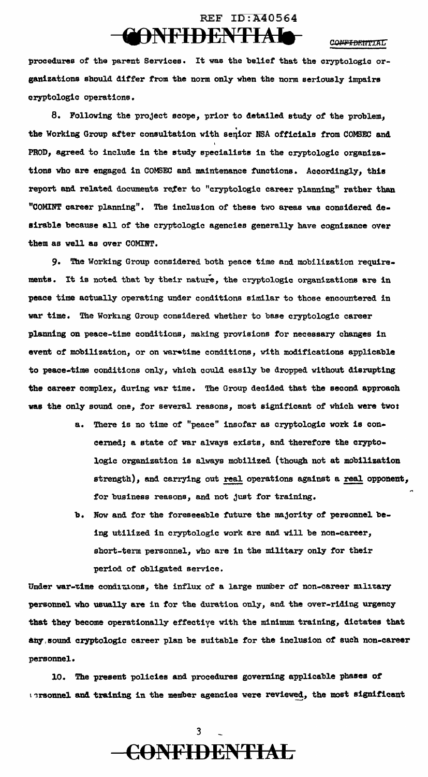### REF  $ID:$ A40564 ONFIDENTIAIO-

CONFIDENTIAL

procedures of the parent Services. It was the belief that the cryptologic organizations should differ from the norm only when the norm seriously impairs cryptologic operations.

8. Following the project scope, prior to detailed study of the problem, the Working Group after consultation with senior NSA officials from COMSEC and PROD, agreed to include in the study specialists in the cryptologic organizations who are engaged in COM3EC and maintenance functions. Accordingly, this report and related documents refer to "cryptologic career planning" rather than "COMINT career planning". The inclusion of these two areas was considered de· airable because all of the cryptologic agencies generally have cognizance over them as well as over COMINT.

9. The Working Group considered both peace time and mobilization requirements. It is noted that by their nature, the cryptologic organizations are in peace time actually operating under conditions similar to those encountered in war time. The Working Group considered whether to base cryptologic career planning on peace-time conditions, making provisions tor necessary changes in event of mobilization, or on waretime conditions, with modifications applicable to peace-time conditions only, which could easily be dropped without disrupting the career complex, during war time. The Group decided that the second approach was the only sound one, for several reasons, most significant of which were two:

- a. There is no time of "peace" insofar as cryptologic work is concerned; a state of war always exists, and therefore the cryptologic organization is always mobilized (though not at mobilization strength), and carrying out real operations against a real opponent, for business reasons, and not just for training.
- b. Now and for the foreseeable future the majority of personnel being utilized in cryptologic work are and will be non-career, short-term personnel, who are in the military only for their period of obligated service.

Under war-time conditions, the influx of a large number of non-career military personnel who usually are in for the duration only, and the over-riding urgency that they become operationally effectiye with the minimum training, dictates that &ily,sound cryptologic career plan be suitable tor the inclusion *ot* such non-career personnel.

10. The present policies and procedures governing applicable phases *ot*  1.2 raonnel and training in the member agencies were reviewed, the most significant

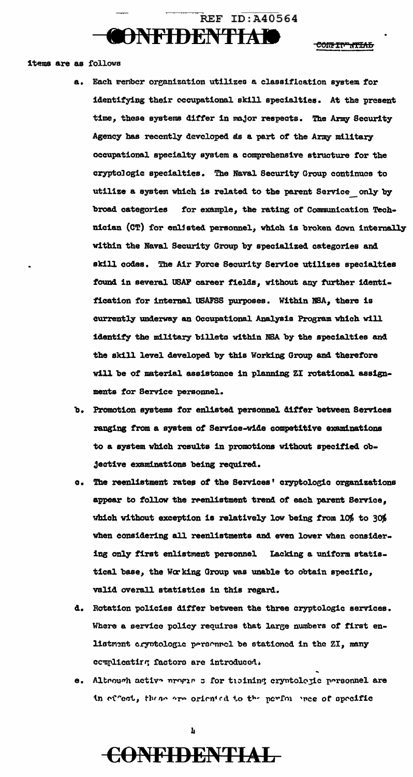

CONFIDENTIAL

#### items are as follows

- a. Each renber organization utilizes a classification system for identifying their occupational skill specialties. At the present time, these systems differ in major respects. The Army Security Agency has recently developed as a part of the Army military occupational specialty system a comprehensive structure tor the cryptologic specialties. The Naval Security Group continues to utilize a system which is related to the parent Service\_ only by broad categories for example, the rating of Communication Technician (CT) for enlisted personnel, which is broken down internally within the Naval Security Group by specialized categories and skill codes. The Air Force Security Service utilizes specialties found in several USAF career fields, without any further identification for internal USAFSS purposes. Within NSA, there is currently underway an Occupational Analysis Program which will identify the military billets within NSA by the specialties and the skill level developed by this Working Group and therefore will be of material assistance in planning ZI rotational assignments for Service personnel.
- b. Promotion systems for enlisted personnel differ between Services ranging from a system *ot* Service-wide competitive examinations to a system which results in promotions without specified ob-Jective examinations being required.
- a. The reenlistment rates *ot* the Services' cryptoloe;ic organizations appear to follow the reenlistment trend of each parent Service, which without exception is relatively low being from  $10\%$  to 30% when considering all reenlistments and even lower when considering only first enlistment personnel Lacking a uniform statistical base, the Wcr king Group was unable to obtain specific, valid overall statistics in this regard.
- d. Rotation policies differ between the three cryptologic services. Where a service policy requires that large numbers of first enlistment cryptologic personnel be stationed in the ZI, many ccwplicatirs; factors are introduced.
- e. Altrough active nrogin : for ttoining cryntologic personnel are in effect, these are oriented to the performer of specific

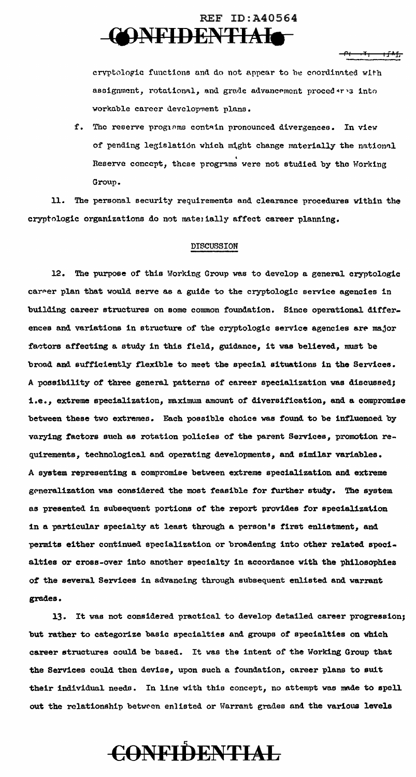### REF ID:A40564 **CONFIDENTIAIO**

 $\mathbf{t}$ 

cryptologic functions and do not appear to be coordinated with assignment, rotational, and grade advancement proced .r .3 into workable career development plans.

f. The reserve prog10ms contain pronounced divergences. In view of pending legislation which might change materially the national Reserve concept, these programs were not studied by the Working Group.

11. The personal security requirements and clearance procedures vlthin the cryptologic organizations do not materially affect career planning.

#### DISCUSSION

12. The purpose of this Working Group was to develop a general cryptologic career plan that would serve as a guide to the cryptologic service agencies in building career structures on some common foundation. Since operational differences and variations in structure of the cryptologic service agencies are major factors affecting a study in this field, guidance, it was believed, must be broad and sufficiently flexible to meet the special situations in the Services. A possibility of three general patterns of career specialization was discussed; i.e., extreme specialization, maximum amount of diversification, and a compromise between these two extremes. Each possible choice was found to be influenced by varying factors such as rotation policies of the parent Services, promotion requirements, technological and operating developments, and similar variables. A system representing a compromise betveen extreme specialization and extreme generalization was considered the most feasible for further study. The system as presented in subsequent portions of the report provides for specialization in a particular specialty at least through a person's first enlistment, and permits either continued specialization or broadening into other related specialties or cross-over into another specialty in accordance with the philosophies of the several Services in advancing through subsequent enlisted and warrant grades.

13. It was not considered practical to develop detailed career progression; but rather to categorize basic specialties and groups of specialties on which career structures could be based. It was the intent of the Working Group that the Services could then devise, upon such a foundation, career plans to suit their individual needs. In line with this concept, no attempt was made to spell out the relationship between enlisted or Warrant grades and the various levels

**C:()NFiilENTIAL**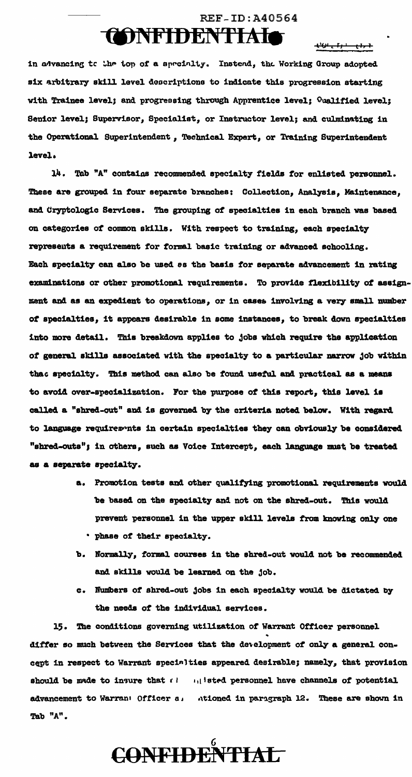### **REF-ID: A40564** TONFIDENTIAIO

 $+10 + 11 + 11 + 1$ 

in advancing to the top of a specialty. Instead, the Working Group adopted six arbitrary skill level descriptions to indicate this progression starting with Trainee level; and progressing through Apprentice level; Qualified level; Senior level; Supervisor, Specialist, or Instructor level; and culminating in the Operational Superintendent, Technical Expert, or Training Superintendent level.

14. Tab "A" contains recommended specialty fields for enlisted personnel. These are grouped in four separate branches: Collection, Analysis, Maintenance, and Cryptologic Services. The grouping of specialties in each branch was based on categories of common skills. With respect to training, each specialty represents a requirement for formal basic training or advanced schooling. Each specialty can also be used as the basis for separate advancement in rating examinations or other promotional requirements. To provide flexibility of assignment and as an expedient to operations, or in cases involving a very small number of specialties, it appears desirable in some instances, to break down specialties into more detail. This breakdown applies to jobs which require the application of general skills associated with the specialty to a particular narrow job within that specialty. This method can also be found useful and practical as a means to avoid over-specialization. For the purpose of this report, this level is called a "shred-out" and is governed by the criteria noted below. With regard to language requirements in certain specialties they can obviously be considered "shred-outs"; in others, such as Voice Intercept, each language must be treated as a separate specialty.

- a. Promotion tests and other qualifying promotional requirements would be based on the specialty and not on the shred-out. This would prevent personnel in the upper skill levels from knowing only one . phase of their specialty.
- b. Normally, formal courses in the shred-out would not be recommended and skills would be learned on the job.
- c. Numbers of shred-out jobs in each specialty would be dictated by the needs of the individual services.

15. The conditions governing utilization of Warrant Officer personnel differ so much between the Services that the development of only a general concept in respect to Warrant specialties appeared desirable; namely, that provision should be made to insure that  $\ell = 1$ , isted personnel have channels of potential advancement to Warran: Officer a. Ationed in paragraph 12. These are shown in Tab "A".

**CONFIDENTIAL**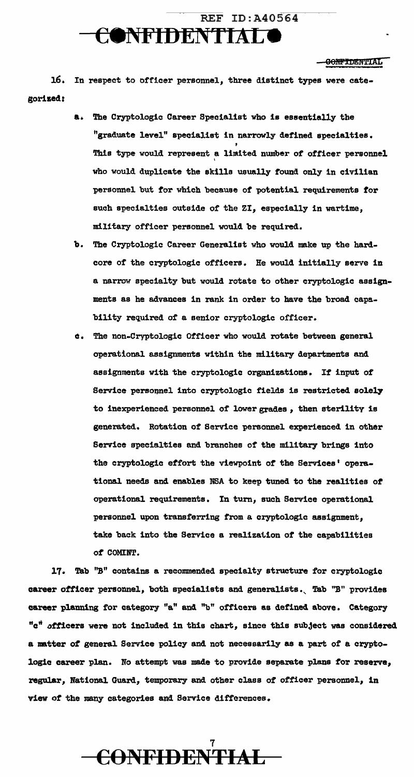### REF ID:A40564 e •NFIDENTIJ\L **e**

#### GONFTDENTIAL

16. In respect to officer personnel, three distinct types were categorized:

- a. The Cryptologic Career Specialist who is essentially the "graduate level" specialist in narrowly defined specialties. This type would represent a limited number of officer personnel who would duplicate the skills usually found only in civilian personnel but for which because of potential requirements for such specialties outside of the ZI, especially in wartime, military officer personnel would be required.
- b. The Cryptologic Career Generalist who would make up the hard. core of the cryptologic officers. He would initially serve in a narrow specialty but would rotate to other cryptologic assignments as he advances in rank in order to have the broad capability required of a senior cryptologic officer.
- a. The non-Cryptologic Officer who would rotate between general operational assignments within the military departments and a8Signments with the cryptologic organizations. It input of Service personnel into cryptologic fields is restricted solely to inexperienced personnel of lower grades, then sterility is generated. Rotation of Service personnel experienced in other Service specialties and branches cf the military brings into the cryptologic effort the viewpoint or the Services' operational needs and enables NSA to keep tuned to the realities of operational requirements. In tum, such Service operational personnel upon transferring from a cryptologic assignment, take back into the Service a realization of the capabilities *ot* COMINT.

17. Tab "B" contains a recommended specialty structure for cryptologic career officer personnel, both specialists and generalists. Tab "B" provides career planning for category "a" and "b" officers as defined above. Category "c" officers were not included in this chart, since this subject was considered a natter *ot* general Service policy and not necessarily as a part of a cryptologic career plan. No attempt was made to provide separate plans for reserve, regular, National Guard, temporary and other class of officer personnel, in view of the many categories and Service differences.

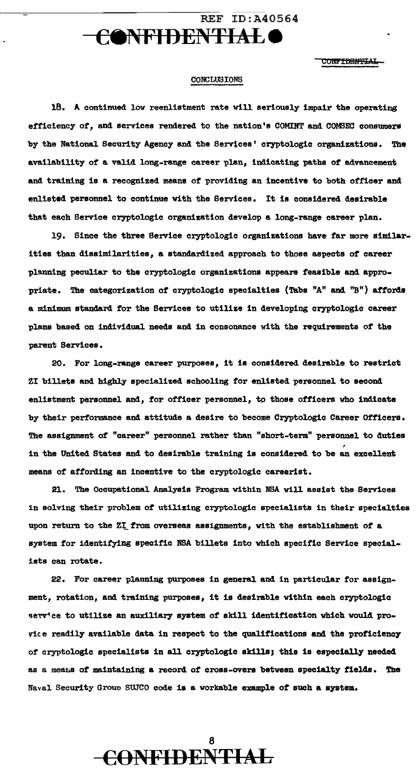### REF ID:A40564 c•NFIDENTIALe

CONF<del>IDENTIAL</del>

#### CONCLUSIONS

18. A continued low reenlistment rate will seriously impair the operating efficiency of, and services rendered to the nation's COMINT and COMSEC consumers by the National Security Agency and the Servtces' cryptologic organizations. The availability of' a valid long-range career plan, indicating paths *ot* advancement and training is a recognized means of providing an incentive to both officer and enlisted personnel to continue with the Services. It is considered desirable that each Service cryptologic organization develop a long-range career plan.

19. Since the three Service cryptologic organizations have tar more similarities than dissimilarities, a standardized approach to those aspects *ot* career planning peculiar to the cryptologic organizations appears feasible and appropriate. The categorization *ot* cryptologic specialties (Tabs "A" and "B") affords a minimum standard for the Services to utilize in developing cryptologic career plans based on individual needs and in consonance with the requirements *ot* the parent Services.

20. For long-range career purposes, it is considered desirable to restrict ZI billets and highly specialized schooling for enlisted personnel to second enlistment personnel and, for officer personnel, to those officers who indicate by their performance and attitude a desire to become Cryptologic Career Officers. The assignment of "career" personnel rather than "short-term" personnel to duties in the United States and to desirable training is considered to be an excellent means of affording an incentive to the cryptologic careerist.

21. The Occupational Analysis Program within NSA will assist the Services in solving their problem of utilizing cryptologic specialists in their specialties upon return to the ZI from overseas assignments, with the establishment of a system for identitying specific NSA billets into which specific Service specialists can rotate.

22. For career planning purposes in general and in particular for assignment, rotation, and training purposes, it is desirable within each cryptologic serv'ce to utilize an auxiliary system of skill identification which would provice readily available data in respect to the qualifications and the proficiency of cryptologic specialists in all cryptologic skills; this is especially needed as a means of maintaining a record of cross-overs between specialty fields. The Naval Security Group SUJCO code is a workable example of such a system.

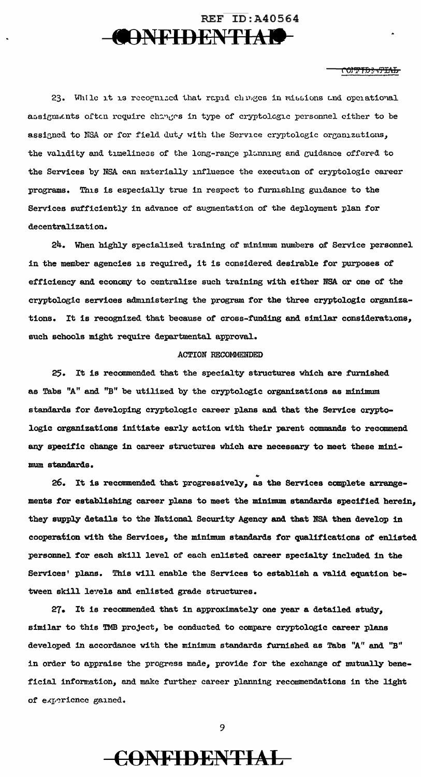

#### <del>ᡕ᠐ᡎᡏᡦ</del>ᡷ᠊<del>ᡗ᠘</del>ᠯᢧ

23. While it is recognized that rapid chinges in missions and operational assignments often require changes in type of cryptologic personnel either to be assigned to NSA or for field duty with the Service cryptologic organizations, the validity and timeliness of the long-range planning and guidance offered to the Services by NSA can materially influence the execution of cryptologic career programs. This is especially true in respect to furnishing guidance to the Services sufficiently in advance of augmentation of the deployment plan for decentralization.

24. When highly specialized training of minimum numbers of Service personnel in the member agencies is required, it is considered desirable for purposes of efficiency and economy to centralize such training with either NSA or one of the cryptologic services administering the program for the three cryptologic organizations. It is recognized that because of cross-funding and similar considerations, such schools might require departmental approval.

#### **ACTION RECOMMENDED**

25. It is recommended that the specialty structures which are furnished as Tabs "A" and "B" be utilized by the cryptologic organizations as minimum standards for developing cryptologic career plans and that the Service cryptologic organizations initiate early action with their parent commands to recommend any specific change in career structures which are necessary to meet these minimum standards.

26. It is recommended that progressively, as the Services complete arrangements for establishing career plans to meet the minimum standards specified herein, they supply details to the National Security Agency and that NSA then develop in cooperation with the Services, the minimum standards for qualifications of enlisted personnel for each skill level of each enlisted career specialty included in the Services' plans. This will enable the Services to establish a valid equation between skill levels and enlisted grade structures.

27. It is recommended that in approximately one year a detailed study, similar to this TMB project, be conducted to compare cryptologic career plans developed in accordance with the minimum standards furnished as Tabs "A" and "B" in order to appraise the progress made, provide for the exchange of mutually beneficial information, and make further career planning recommendations in the light of experience gained.

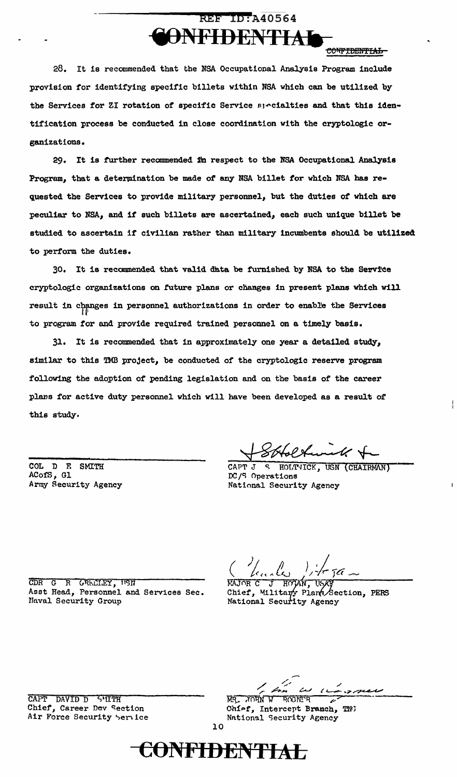### **REF ID: A40564 ONFIDENTIA**

CONFIDENTIAL

28. It is recommended that the NSA Occupational Analysis Program include provision for identifying specific billets within NSA which can be utilized by the Services for ZI rotation of specific Service specialties and that this identification process be conducted in close coordination with the cryptologic organizations.

29. It is further recommended in respect to the NSA Occupational Analysis Program, that a determination be made of any NSA billet for which NSA has requested the Services to provide military personnel, but the duties of which are peculiar to NSA, and if such billets are ascertained, each such unique billet be studied to ascertain if civilian rather than military incumbents should be utilized to perform the duties.

30. It is recommended that valid data be furnished by NSA to the Service cryptologic organizations on future plans or changes in present plans which will result in changes in personnel authorizations in order to enable the Services to program for and provide required trained personnel on a timely basis.

It is recommended that in approximately one year a detailed study, 31. similar to this TMB project, be conducted of the cryptologic reserve program following the adoption of pending legislation and on the basis of the career plans for active duty personnel which will have been developed as a result of this study.

COL D F. **SMITH** ACofS, Gl Army Security Agency

HOLTVICK, USN (CHAIRMAN) CAPT J DC/S Operations National Security Agency

CDR G R GREETEY, USN Asst Head, Personnel and Services Sec. Naval Security Group

ᠮᢙ᠕ᡪ

Chief, Military Plans Section, PERS National Security Agency

CAPT DAVID D S'IITH Chief, Career Dev Section Air Force Security Service

MR. JOHN **ROGNITR** W

Chief, Intercept Branch, TN3 National Security Agency

 $10$ 

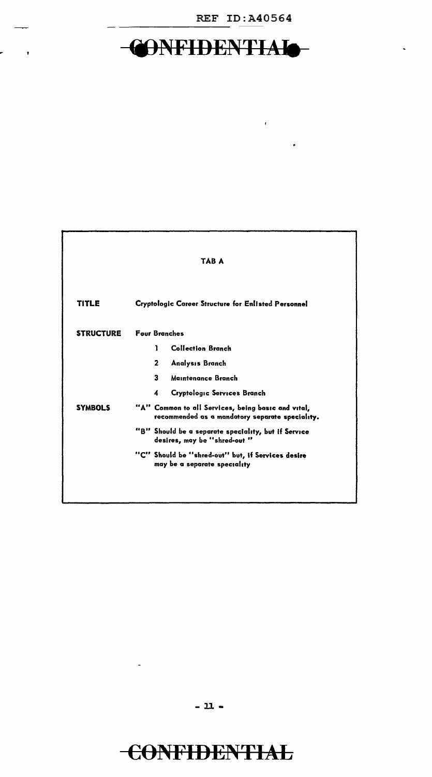### REF ID:A40564

 $\mathcal{A}^{\mathrm{c}}$ 

## **CONFIDENTIAIO**

 $\mathbf{r} = \mathbf{r}$ 

|                  | TAB A                                                                                                 |
|------------------|-------------------------------------------------------------------------------------------------------|
| <b>TITLE</b>     | Cryptologic Career Structure for Enlisted Personnel                                                   |
| <b>STRUCTURE</b> | <b>Four Branches</b>                                                                                  |
|                  | <b>Collection Branch</b><br>1                                                                         |
|                  | $\mathbf{2}$<br><b>Analysis Branch</b>                                                                |
|                  | 3<br>Maintenance Branch                                                                               |
|                  | Cryptologic Services Branch<br>4                                                                      |
| <b>SYMBOLS</b>   | "A" Common to all Services, being basic and vital,<br>recommended as a mandatory separate speciality. |
|                  | "B" Should be a separate speciality, but if Service<br>desires, may be "shred-out "                   |
|                  | "C" Should be "shred-out" but, if Services desire<br>may be a separate speciality                     |

 $- 11 -$ 

## C0NFIDEN'FIAL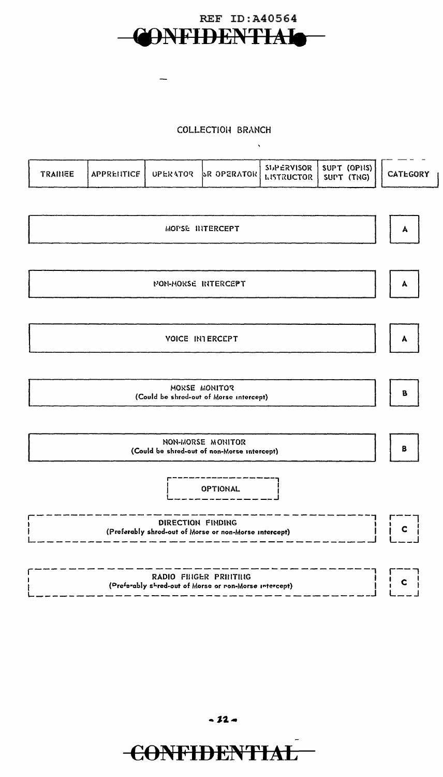

 $\overline{\phantom{a}}$ 

#### COLLECTIOH BRANCH

| $ $ APPRENTICE   OPERATOR   R OPERATOR   SUPERVISOR   SUPT (OPIS)  <br><b>TRANEE</b> |  |  | <b>CATEGORY</b> |
|--------------------------------------------------------------------------------------|--|--|-----------------|
|--------------------------------------------------------------------------------------|--|--|-----------------|

 $\hat{\mathbf{q}}$ 

| MOPSE INTERCEPT                                                                 | A            |
|---------------------------------------------------------------------------------|--------------|
| <b>NON-MORSE INTERCEPT</b>                                                      | A            |
| <b>VOICE INTERCEPT</b>                                                          | A            |
| MORSE MONITOR<br>(Could be shred-out of Morse intercept)                        | B            |
| NON-MORSE MONITOR<br>(Could be shred-out of non-Morse intercept)                | В            |
| <b>OPTIONAL</b>                                                                 |              |
| DIRECTION FINDING<br>(Preferably shred-out of Morse or non-Morse intercept)     | $\mathbf{C}$ |
| RADIO FINGER PRINTING<br>(Preferably shred-out of Morse or non-Morse intercept) |              |

- **J2..-**

# **€0NFIDENTIAL**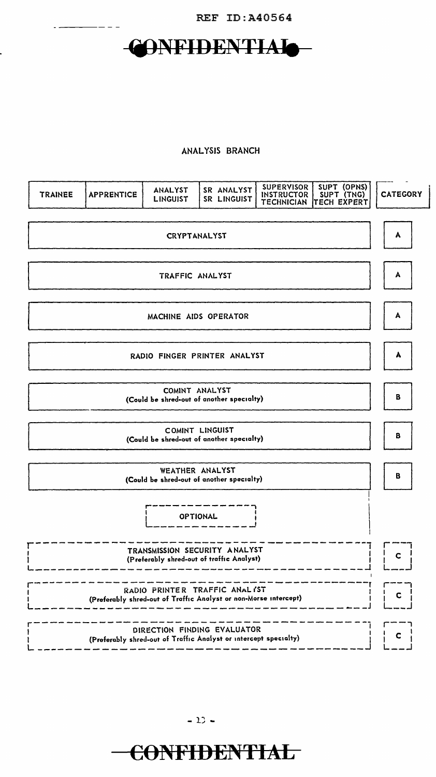

## CONFIDENTIAIO-

 $-- - -$ 

#### ANALYSIS BRANCH

| <b>TRAINEE</b> | <b>APPRENTICE</b> | ANALYST<br><b>LINGUIST</b>                                                                        | SR ANALYST<br>SR LINGUIST | <b>SUPERVISOR</b><br><b>INSTRUCTOR</b><br><b>TECHNICIAN</b> | SUPT (OPNS)<br>SUPT (TNG)<br><b>TECH EXPERT</b> | <b>CATEGORY</b> |  |
|----------------|-------------------|---------------------------------------------------------------------------------------------------|---------------------------|-------------------------------------------------------------|-------------------------------------------------|-----------------|--|
|                |                   | <b>CRYPTANALYST</b>                                                                               |                           |                                                             |                                                 | A               |  |
|                |                   | TRAFFIC ANALYST                                                                                   |                           |                                                             |                                                 | A               |  |
|                |                   | MACHINE AIDS OPERATOR                                                                             |                           |                                                             |                                                 | A               |  |
|                |                   | RADIO FINGER PRINTER ANALYST                                                                      |                           |                                                             |                                                 | A               |  |
|                |                   | COMINT ANALYST<br>(Could be shred-out of another specialty)                                       |                           |                                                             |                                                 | В               |  |
|                |                   | COMINT LINGUIST<br>(Could be shred-out of another specialty)                                      |                           |                                                             |                                                 | B               |  |
|                |                   | WEATHER ANALYST<br>(Could be shred-out of another specialty)                                      |                           |                                                             |                                                 | B               |  |
|                |                   | <b>OPTIONAL</b>                                                                                   |                           |                                                             |                                                 |                 |  |
|                |                   | TRANSMISSION SECURITY ANALYST<br>(Preferably shred-out of traffic Analyst)                        |                           |                                                             |                                                 | C               |  |
|                |                   | RADIO PRINTER TRAFFIC ANALYST<br>(Preferably shred-out of Traffic Analyst or non-Morse intercept) |                           |                                                             |                                                 | c               |  |
|                |                   | DIRECTION FINDING EVALUATOR<br>(Preferably shred-out of Traffic Analyst or intercept specialty)   |                           |                                                             |                                                 | с               |  |

 $-12 -$ 

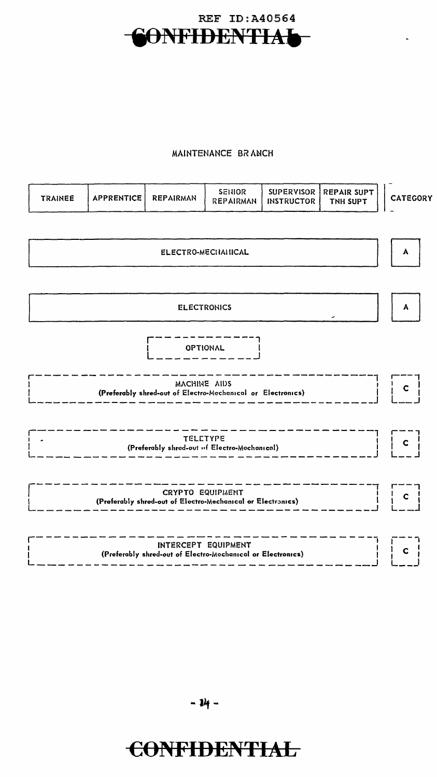

### MAINTENANCE BRANCH

| <b>TRAINEE</b>     | <b>APPRENTICE</b> | <b>REPAIRMAN</b>                                                                       | SENIOR<br><b>REPAIRMAN</b> | <b>SUPERVISOR</b><br><b>INSTRUCTOR</b> | <b>REPAIR SUPT</b><br>TNH SUPT | <b>CATEGORY</b> |  |
|--------------------|-------------------|----------------------------------------------------------------------------------------|----------------------------|----------------------------------------|--------------------------------|-----------------|--|
|                    |                   |                                                                                        |                            |                                        |                                |                 |  |
| ELECTRO-MECHAHICAL |                   |                                                                                        |                            |                                        |                                |                 |  |
|                    |                   | <b>ELECTRONICS</b>                                                                     |                            |                                        |                                | A               |  |
|                    |                   |                                                                                        | <b>OPTIONAL</b>            |                                        |                                |                 |  |
|                    |                   | MACHINE AIDS<br>(Preferably shred-out of Electro-Mechanical or Electronics)            |                            |                                        |                                | $\mathbf{C}$    |  |
|                    |                   | <b>TELETYPE</b><br>(Preferably shred-out of Electro-Mechanical)                        |                            |                                        |                                | $\mathbf{C}$    |  |
|                    |                   | <b>CRYPTO EQUIPMENT</b><br>(Preferably shred-out of Electro-Mechanical or Electronics) |                            |                                        |                                | $\mathbf{C}$    |  |
|                    |                   | INTERCEPT EQUIPMENT<br>(Preferably shred-out of Electro-Mechanical or Electronics)     |                            |                                        |                                | $\mathbf{C}$    |  |

## **CONFIDENTIAL**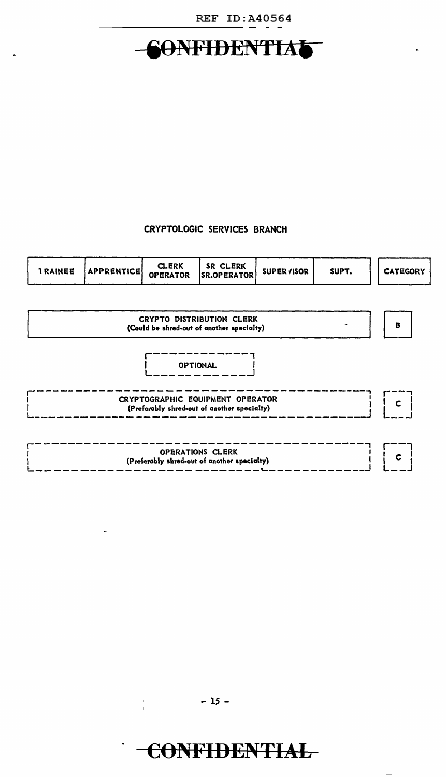

## 60NFIDENTIA

### CRYPTOLOGIC SERVICES BRANCH

| <b>OPERATOR</b><br>SR.OPERATOR | <b>IRAINEE</b> | <b>APPRENTICE</b> | CLERK | SR CLERK | <b>SUPERVISOR</b> | SUPT. | <b>CATEGORY</b> |
|--------------------------------|----------------|-------------------|-------|----------|-------------------|-------|-----------------|
|--------------------------------|----------------|-------------------|-------|----------|-------------------|-------|-----------------|



 $-15 -$ 

 $\frac{1}{4}$